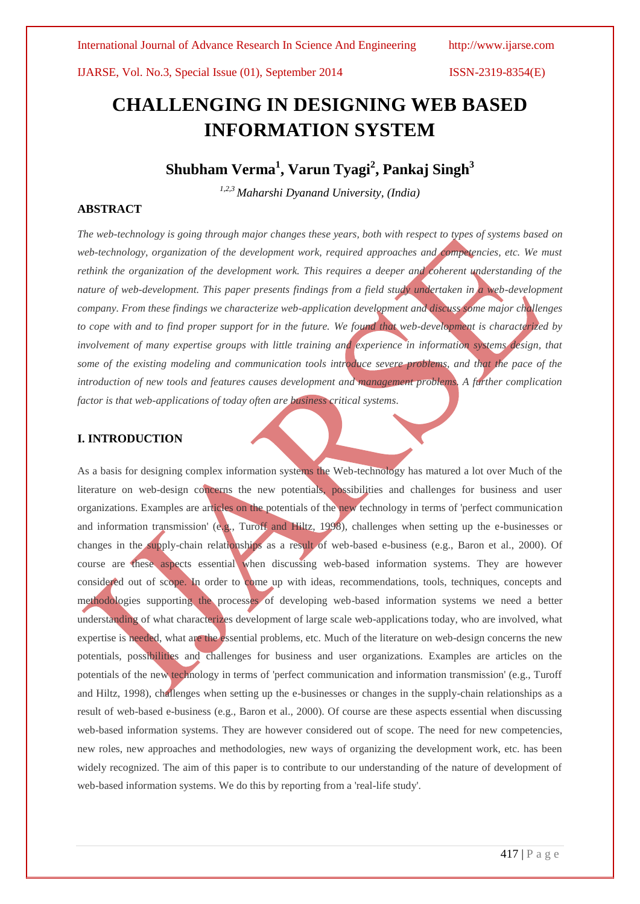# **CHALLENGING IN DESIGNING WEB BASED INFORMATION SYSTEM**

## **Shubham Verma<sup>1</sup> , Varun Tyagi<sup>2</sup> , Pankaj Singh<sup>3</sup>**

*1,2,3 Maharshi Dyanand University, (India)*

### **ABSTRACT**

*The web-technology is going through major changes these years, both with respect to types of systems based on web-technology, organization of the development work, required approaches and competencies, etc. We must rethink the organization of the development work. This requires a deeper and coherent understanding of the nature of web-development. This paper presents findings from a field study undertaken in a web-development company. From these findings we characterize web-application development and discuss some major challenges to cope with and to find proper support for in the future. We found that web-development is characterized by involvement of many expertise groups with little training and experience in information systems design, that* some of the existing modeling and communication tools introduce severe problems, and that the pace of the *introduction of new tools and features causes development and management problems. A further complication factor is that web-applications of today often are business critical systems.* 

#### **I. INTRODUCTION**

As a basis for designing complex information systems the Web-technology has matured a lot over Much of the literature on web-design concerns the new potentials, possibilities and challenges for business and user organizations. Examples are articles on the potentials of the new technology in terms of 'perfect communication and information transmission' (e.g., Turoff and Hiltz, 1998), challenges when setting up the e-businesses or changes in the supply-chain relationships as a result of web-based e-business (e.g., Baron et al., 2000). Of course are these aspects essential when discussing web-based information systems. They are however considered out of scope. In order to come up with ideas, recommendations, tools, techniques, concepts and methodologies supporting the processes of developing web-based information systems we need a better understanding of what characterizes development of large scale web-applications today, who are involved, what expertise is needed, what are the essential problems, etc. Much of the literature on web-design concerns the new potentials, possibilities and challenges for business and user organizations. Examples are articles on the potentials of the new technology in terms of 'perfect communication and information transmission' (e.g., Turoff and Hiltz, 1998), challenges when setting up the e-businesses or changes in the supply-chain relationships as a result of web-based e-business (e.g., Baron et al., 2000). Of course are these aspects essential when discussing web-based information systems. They are however considered out of scope. The need for new competencies, new roles, new approaches and methodologies, new ways of organizing the development work, etc. has been widely recognized. The aim of this paper is to contribute to our understanding of the nature of development of web-based information systems. We do this by reporting from a 'real-life study'.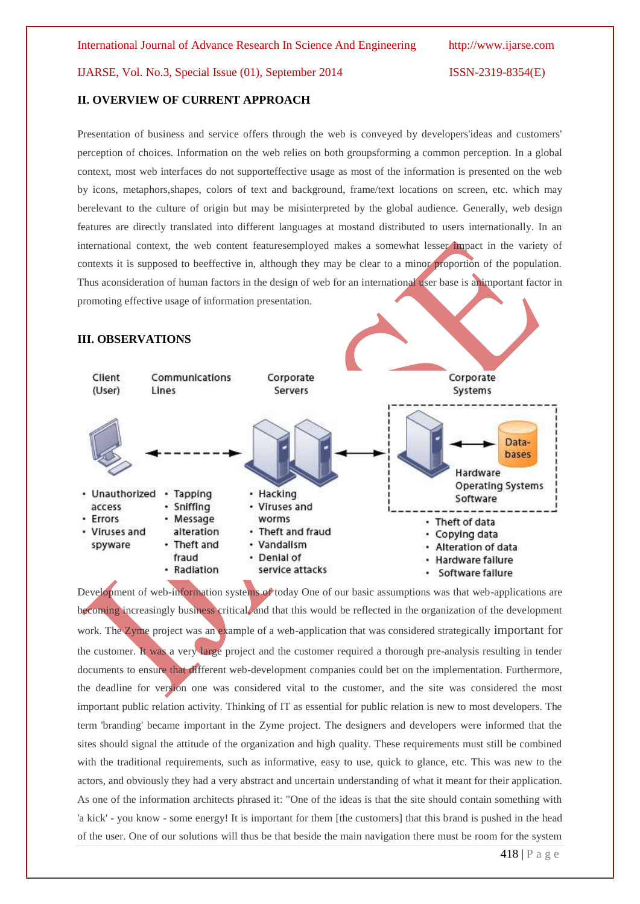#### **II. OVERVIEW OF CURRENT APPROACH**

Presentation of business and service offers through the web is conveyed by developers'ideas and customers' perception of choices. Information on the web relies on both groupsforming a common perception. In a global context, most web interfaces do not supporteffective usage as most of the information is presented on the web by icons, metaphors,shapes, colors of text and background, frame/text locations on screen, etc. which may berelevant to the culture of origin but may be misinterpreted by the global audience. Generally, web design features are directly translated into different languages at mostand distributed to users internationally. In an international context, the web content featuresemployed makes a somewhat lesser impact in the variety of contexts it is supposed to beeffective in, although they may be clear to a minor proportion of the population. Thus aconsideration of human factors in the design of web for an international user base is animportant factor in promoting effective usage of information presentation.

#### **III. OBSERVATIONS**



Development of web-information systems of today One of our basic assumptions was that web-applications are becoming increasingly business critical, and that this would be reflected in the organization of the development work. The Zyme project was an example of a web-application that was considered strategically important for the customer. It was a very large project and the customer required a thorough pre-analysis resulting in tender documents to ensure that different web-development companies could bet on the implementation. Furthermore, the deadline for version one was considered vital to the customer, and the site was considered the most important public relation activity. Thinking of IT as essential for public relation is new to most developers. The term 'branding' became important in the Zyme project. The designers and developers were informed that the sites should signal the attitude of the organization and high quality. These requirements must still be combined with the traditional requirements, such as informative, easy to use, quick to glance, etc. This was new to the actors, and obviously they had a very abstract and uncertain understanding of what it meant for their application. As one of the information architects phrased it: "One of the ideas is that the site should contain something with 'a kick' - you know - some energy! It is important for them [the customers] that this brand is pushed in the head of the user. One of our solutions will thus be that beside the main navigation there must be room for the system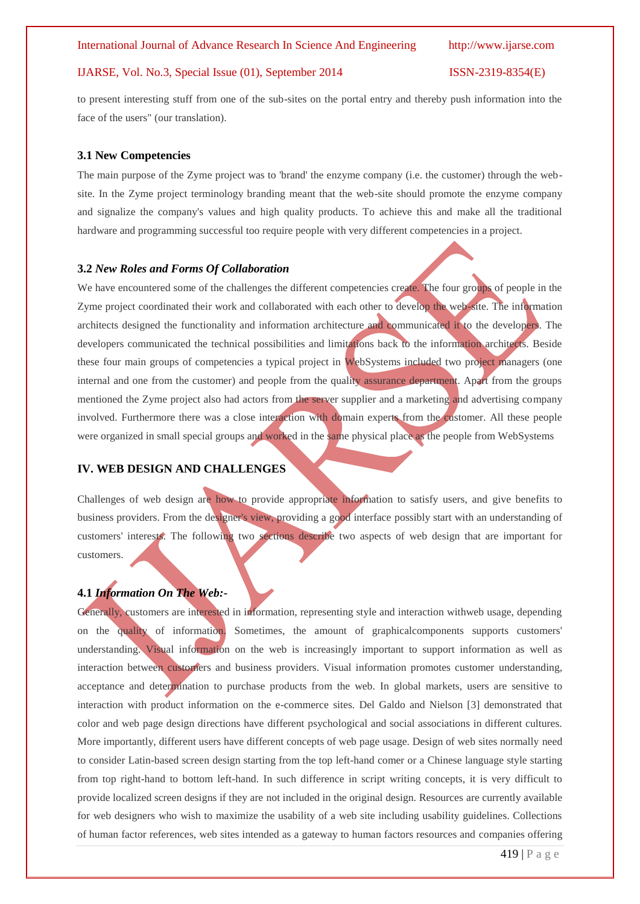to present interesting stuff from one of the sub-sites on the portal entry and thereby push information into the face of the users" (our translation).

#### **3.1 New Competencies**

The main purpose of the Zyme project was to 'brand' the enzyme company (i.e. the customer) through the website. In the Zyme project terminology branding meant that the web-site should promote the enzyme company and signalize the company's values and high quality products. To achieve this and make all the traditional hardware and programming successful too require people with very different competencies in a project.

#### **3.2** *New Roles and Forms Of Collaboration*

We have encountered some of the challenges the different competencies create. The four groups of people in the Zyme project coordinated their work and collaborated with each other to develop the web-site. The information architects designed the functionality and information architecture and communicated it to the developers. The developers communicated the technical possibilities and limitations back to the information architects. Beside these four main groups of competencies a typical project in WebSystems included two project managers (one internal and one from the customer) and people from the quality assurance department. Apart from the groups mentioned the Zyme project also had actors from the server supplier and a marketing and advertising company involved. Furthermore there was a close interaction with domain experts from the customer. All these people were organized in small special groups and worked in the same physical place as the people from WebSystems

### **IV. WEB DESIGN AND CHALLENGES**

Challenges of web design are how to provide appropriate information to satisfy users, and give benefits to business providers. From the designer's view, providing a good interface possibly start with an understanding of customers' interests. The following two sections describe two aspects of web design that are important for customers.

### **4.1** *Information On The Web:-*

Generally, customers are interested in information, representing style and interaction withweb usage, depending on the quality of information. Sometimes, the amount of graphicalcomponents supports customers' understanding. Visual information on the web is increasingly important to support information as well as interaction between customers and business providers. Visual information promotes customer understanding, acceptance and determination to purchase products from the web. In global markets, users are sensitive to interaction with product information on the e-commerce sites. Del Galdo and Nielson [3] demonstrated that color and web page design directions have different psychological and social associations in different cultures. More importantly, different users have different concepts of web page usage. Design of web sites normally need to consider Latin-based screen design starting from the top left-hand comer or a Chinese language style starting from top right-hand to bottom left-hand. In such difference in script writing concepts, it is very difficult to provide localized screen designs if they are not included in the original design. Resources are currently available for web designers who wish to maximize the usability of a web site including usability guidelines. Collections of human factor references, web sites intended as a gateway to human factors resources and companies offering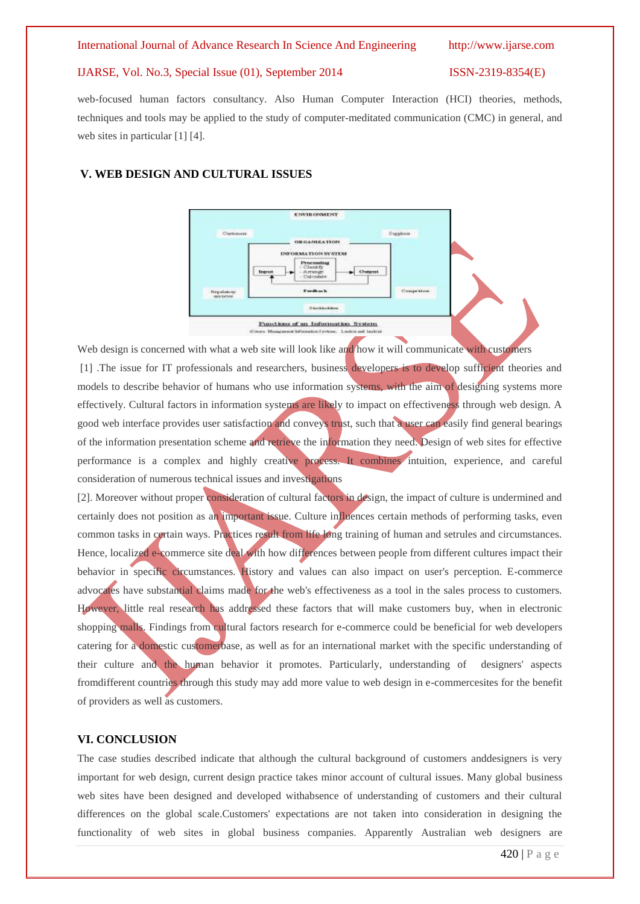web-focused human factors consultancy. Also Human Computer Interaction (HCI) theories, methods, techniques and tools may be applied to the study of computer-meditated communication (CMC) in general, and web sites in particular [1] [4].

#### **V. WEB DESIGN AND CULTURAL ISSUES**



Web design is concerned with what a web site will look like and how it will communicate with customers [1] .The issue for IT professionals and researchers, business developers is to develop sufficient theories and models to describe behavior of humans who use information systems, with the aim of designing systems more effectively. Cultural factors in information systems are likely to impact on effectiveness through web design. A good web interface provides user satisfaction and conveys trust, such that a user can easily find general bearings of the information presentation scheme and retrieve the information they need. Design of web sites for effective performance is a complex and highly creative process. It combines intuition, experience, and careful consideration of numerous technical issues and investigations

[2]. Moreover without proper consideration of cultural factors in design, the impact of culture is undermined and certainly does not position as an important issue. Culture influences certain methods of performing tasks, even common tasks in certain ways. Practices result from life long training of human and setrules and circumstances. Hence, localized e-commerce site deal with how differences between people from different cultures impact their behavior in specific circumstances. History and values can also impact on user's perception. E-commerce advocates have substantial claims made for the web's effectiveness as a tool in the sales process to customers. However, little real research has addressed these factors that will make customers buy, when in electronic shopping malls. Findings from cultural factors research for e-commerce could be beneficial for web developers catering for a domestic customerbase, as well as for an international market with the specific understanding of their culture and the human behavior it promotes. Particularly, understanding of designers' aspects fromdifferent countries through this study may add more value to web design in e-commercesites for the benefit of providers as well as customers.

### **VI. CONCLUSION**

The case studies described indicate that although the cultural background of customers anddesigners is very important for web design, current design practice takes minor account of cultural issues. Many global business web sites have been designed and developed withabsence of understanding of customers and their cultural differences on the global scale.Customers' expectations are not taken into consideration in designing the functionality of web sites in global business companies. Apparently Australian web designers are